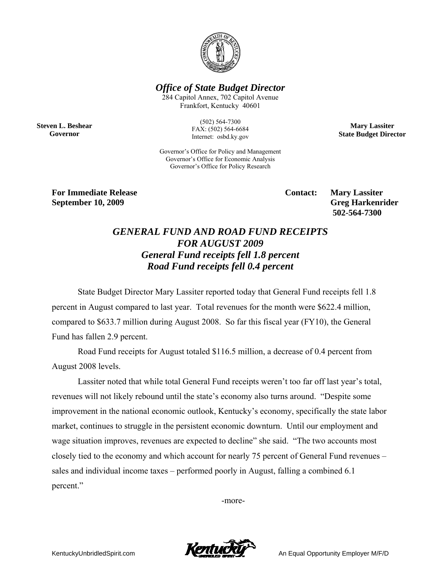

*Office of State Budget Director* 

284 Capitol Annex, 702 Capitol Avenue Frankfort, Kentucky 40601

**Steven L. Beshear Governor** 

(502) 564-7300 FAX: (502) 564-6684 Internet: osbd.ky.gov

**Mary Lassiter State Budget Director** 

Governor's Office for Policy and Management Governor's Office for Economic Analysis Governor's Office for Policy Research

**For Immediate Release Service Service Service Contact: Mary Lassiter September 10, 2009** Greg Harkenrider **Greg Harkenrider Greg Harkenrider Greg Harkenrider** 

 **502-564-7300** 

## *GENERAL FUND AND ROAD FUND RECEIPTS FOR AUGUST 2009 General Fund receipts fell 1.8 percent Road Fund receipts fell 0.4 percent*

State Budget Director Mary Lassiter reported today that General Fund receipts fell 1.8 percent in August compared to last year. Total revenues for the month were \$622.4 million, compared to \$633.7 million during August 2008. So far this fiscal year (FY10), the General Fund has fallen 2.9 percent.

Road Fund receipts for August totaled \$116.5 million, a decrease of 0.4 percent from August 2008 levels.

Lassiter noted that while total General Fund receipts weren't too far off last year's total, revenues will not likely rebound until the state's economy also turns around. "Despite some improvement in the national economic outlook, Kentucky's economy, specifically the state labor market, continues to struggle in the persistent economic downturn. Until our employment and wage situation improves, revenues are expected to decline" she said. "The two accounts most closely tied to the economy and which account for nearly 75 percent of General Fund revenues – sales and individual income taxes – performed poorly in August, falling a combined 6.1 percent."

-more-



KentuckyUnbridledSpirit.com **An Equal Opportunity Employer M/F/D**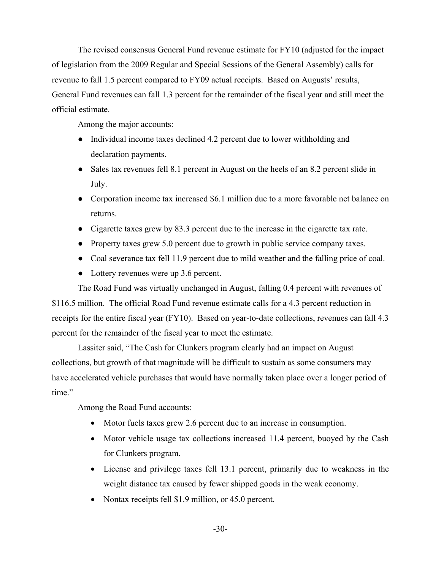The revised consensus General Fund revenue estimate for FY10 (adjusted for the impact of legislation from the 2009 Regular and Special Sessions of the General Assembly) calls for revenue to fall 1.5 percent compared to FY09 actual receipts. Based on Augusts' results, General Fund revenues can fall 1.3 percent for the remainder of the fiscal year and still meet the official estimate.

Among the major accounts:

- Individual income taxes declined 4.2 percent due to lower withholding and declaration payments.
- Sales tax revenues fell 8.1 percent in August on the heels of an 8.2 percent slide in July.
- Corporation income tax increased \$6.1 million due to a more favorable net balance on returns.
- Cigarette taxes grew by 83.3 percent due to the increase in the cigarette tax rate.
- Property taxes grew 5.0 percent due to growth in public service company taxes.
- Coal severance tax fell 11.9 percent due to mild weather and the falling price of coal.
- Lottery revenues were up 3.6 percent.

The Road Fund was virtually unchanged in August, falling 0.4 percent with revenues of \$116.5 million. The official Road Fund revenue estimate calls for a 4.3 percent reduction in receipts for the entire fiscal year (FY10). Based on year-to-date collections, revenues can fall 4.3 percent for the remainder of the fiscal year to meet the estimate.

Lassiter said, "The Cash for Clunkers program clearly had an impact on August collections, but growth of that magnitude will be difficult to sustain as some consumers may have accelerated vehicle purchases that would have normally taken place over a longer period of time."

Among the Road Fund accounts:

- Motor fuels taxes grew 2.6 percent due to an increase in consumption.
- Motor vehicle usage tax collections increased 11.4 percent, buoyed by the Cash for Clunkers program.
- License and privilege taxes fell 13.1 percent, primarily due to weakness in the weight distance tax caused by fewer shipped goods in the weak economy.
- Nontax receipts fell \$1.9 million, or 45.0 percent.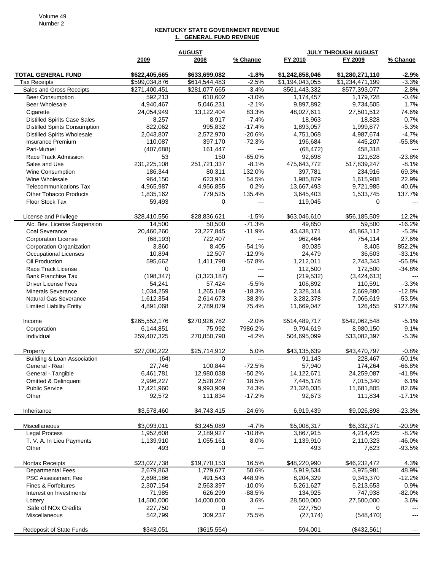## **KENTUCKY STATE GOVERNMENT REVENUE 1. GENERAL FUND REVENUE**

|                                                                             | <b>AUGUST</b>        |                      |                    | <b>JULY THROUGH AUGUST</b> |                        |                    |
|-----------------------------------------------------------------------------|----------------------|----------------------|--------------------|----------------------------|------------------------|--------------------|
|                                                                             | 2009                 | 2008                 | % Change           | FY 2010                    | FY 2009                | % Change           |
|                                                                             |                      |                      |                    |                            |                        |                    |
| <b>TOTAL GENERAL FUND</b>                                                   | \$622,405,665        | \$633,699,082        | $-1.8%$            | \$1,242,858,046            | \$1,280,271,110        | $-2.9%$            |
| <b>Tax Receipts</b>                                                         | \$599,034,876        | \$614,544,483        | $-2.5%$<br>$-3.4%$ | \$1,194,043,055            | \$1,234,471,199        | $-3.3%$            |
| Sales and Gross Receipts                                                    | \$271,400,451        | \$281,077,665        | $-3.0%$            | \$561,443,332              | \$577,393,077          | $-2.8%$<br>$-0.4%$ |
| <b>Beer Consumption</b><br>Beer Wholesale                                   | 592,213<br>4,940,467 | 610,602<br>5,046,231 | $-2.1%$            | 1,174,457<br>9,897,892     | 1,179,728<br>9,734,505 | 1.7%               |
| Cigarette                                                                   | 24,054,949           | 13,122,404           | 83.3%              | 48,027,611                 | 27,501,512             | 74.6%              |
|                                                                             |                      |                      | $-7.4%$            |                            |                        | 0.7%               |
| <b>Distilled Spirits Case Sales</b><br><b>Distilled Spirits Consumption</b> | 8,257<br>822,062     | 8,917<br>995,832     | $-17.4%$           | 18,963<br>1,893,057        | 18,828<br>1,999,877    | $-5.3%$            |
| <b>Distilled Spirits Wholesale</b>                                          | 2,043,807            | 2,572,970            | $-20.6%$           | 4,751,068                  | 4,987,674              | $-4.7%$            |
| <b>Insurance Premium</b>                                                    | 110,087              | 397,170              | $-72.3%$           | 196,684                    | 445,207                | $-55.8%$           |
| Pari-Mutuel                                                                 | (407, 688)           | 161,447              | $---$              | (68, 472)                  | 458,318                | $---$              |
| Race Track Admission                                                        | 53                   | 150                  | $-65.0%$           | 92,698                     | 121,628                | $-23.8%$           |
| Sales and Use                                                               | 231,225,108          | 251,721,337          | $-8.1%$            | 475,643,772                | 517,839,247            | $-8.1%$            |
| Wine Consumption                                                            | 186,344              | 80,311               | 132.0%             | 397,781                    | 234,916                | 69.3%              |
| Wine Wholesale                                                              | 964,150              | 623,914              | 54.5%              | 1,985,879                  | 1,615,908              | 22.9%              |
| <b>Telecommunications Tax</b>                                               | 4,965,987            | 4,956,855            | 0.2%               | 13,667,493                 | 9,721,985              | 40.6%              |
| <b>Other Tobacco Products</b>                                               | 1,835,162            | 779,525              | 135.4%             | 3,645,403                  | 1,533,745              | 137.7%             |
| Floor Stock Tax                                                             | 59,493               | $\Omega$             | ---                | 119,045                    | 0                      |                    |
|                                                                             |                      |                      |                    |                            |                        |                    |
| License and Privilege                                                       | \$28,410,556         | \$28,836,621         | $-1.5%$            | \$63,046,610               | \$56,185,509           | 12.2%              |
| Alc. Bev. License Suspension                                                | 14,500               | 50,500               | $-71.3%$           | 49,850                     | 59,500                 | $-16.2%$           |
| Coal Severance                                                              | 20,460,260           | 23,227,845           | $-11.9%$           | 43,438,171                 | 45,863,112             | $-5.3%$            |
| <b>Corporation License</b>                                                  | (68, 193)            | 722,407              | ---                | 962,464                    | 754,114                | 27.6%              |
| <b>Corporation Organization</b>                                             | 3,860                | 8,405                | $-54.1%$           | 80,035                     | 8,405                  | 852.2%             |
| <b>Occupational Licenses</b>                                                | 10,894               | 12,507               | $-12.9%$           | 24,479                     | 36,603                 | $-33.1%$           |
| Oil Production                                                              | 595,662              | 1,411,798            | $-57.8%$           | 1,212,011                  | 2,743,343              | $-55.8%$           |
| Race Track License                                                          | $\mathbf 0$          | $\Omega$             | ---                | 112,500                    | 172,500                | $-34.8%$           |
| <b>Bank Franchise Tax</b>                                                   | (198, 347)           | (3,323,187)          | $---$              | (219, 532)                 | (3,424,613)            | $---$              |
| <b>Driver License Fees</b>                                                  | 54,241               | 57,424               | $-5.5%$            | 106,892                    | 110,591                | $-3.3%$            |
| <b>Minerals Severance</b>                                                   | 1,034,259            | 1,265,169            | $-18.3%$           | 2,328,314                  | 2,669,880              | $-12.8%$           |
| Natural Gas Severance                                                       | 1,612,354            | 2,614,673            | $-38.3%$           | 3,282,378                  | 7,065,619              | $-53.5%$           |
| <b>Limited Liability Entity</b>                                             | 4,891,068            | 2,789,079            | 75.4%              | 11,669,047                 | 126,455                | 9127.8%            |
| Income                                                                      | \$265,552,176        | \$270,926,782        | $-2.0%$            | \$514,489,717              | \$542,062,548          | $-5.1%$            |
| Corporation                                                                 | 6,144,851            | 75,992               | 7986.2%            | 9,794,619                  | 8,980,150              | 9.1%               |
| Individual                                                                  | 259,407,325          | 270,850,790          | $-4.2%$            | 504,695,099                | 533,082,397            | $-5.3%$            |
|                                                                             |                      |                      |                    |                            |                        |                    |
| Property                                                                    | \$27,000,222         | \$25,714,912         | 5.0%               | \$43,135,639               | \$43,470,797           | $-0.8%$            |
| Building & Loan Association                                                 | (64)                 | $\Omega$             | $\overline{a}$     | 91,143                     | 228,467                | $-60.1%$           |
| General - Real                                                              | 27,746               | 100,844              | $-72.5%$           | 57,940                     | 174,264                | $-66.8%$           |
| General - Tangible                                                          | 6,461,781            | 12,980,038           | $-50.2%$           | 14,122,671                 | 24,259,087             | $-41.8%$           |
| <b>Omitted &amp; Delinquent</b>                                             | 2,996,227            | 2,528,287            | 18.5%              | 7,445,178                  | 7,015,340              | 6.1%               |
| <b>Public Service</b>                                                       | 17,421,960           | 9,993,909            | 74.3%              | 21,326,035                 | 11,681,805             | 82.6%              |
| Other                                                                       | 92,572               | 111,834              | $-17.2%$           | 92,673                     | 111,834                | $-17.1%$           |
|                                                                             |                      |                      |                    |                            |                        |                    |
| Inheritance                                                                 | \$3,578,460          | \$4,743,415          | $-24.6%$           | 6,919,439                  | \$9,026,898            | $-23.3%$           |
| Miscellaneous                                                               | \$3,093,011          | \$3,245,089          | $-4.7%$            | \$5,008,317                | \$6,332,371            | $-20.9%$           |
| <b>Legal Process</b>                                                        | 1,952,608            | 2,189,927            | $-10.8%$           | 3,867,915                  | 4,214,425              | $-8.2%$            |
| T. V. A. In Lieu Payments                                                   | 1,139,910            | 1,055,161            | 8.0%               | 1,139,910                  | 2,110,323              | $-46.0%$           |
| Other                                                                       | 493                  | 0                    | $---$              | 493                        | 7,623                  | $-93.5%$           |
|                                                                             |                      |                      |                    |                            |                        |                    |
| Nontax Receipts                                                             | \$23,027,738         | \$19,770,153         | 16.5%              | \$48,220,990               | \$46,232,472           | 4.3%               |
| <b>Departmental Fees</b>                                                    | 2,679,863            | 1,779,677            | 50.6%              | 5,919,534                  | 3,975,981              | 48.9%              |
| PSC Assessment Fee                                                          | 2,698,186            | 491,543              | 448.9%             | 8,204,329                  | 9,343,370              | $-12.2%$           |
| Fines & Forfeitures                                                         | 2,307,154            | 2,563,397            | $-10.0%$           | 5,261,627                  | 5,213,653              | 0.9%               |
| Interest on Investments                                                     | 71,985               | 626,299              | $-88.5%$           | 134,925                    | 747,938                | $-82.0%$           |
| Lottery                                                                     | 14,500,000           | 14,000,000           | 3.6%               | 28,500,000                 | 27,500,000             | 3.6%               |
| Sale of NOx Credits<br>Miscellaneous                                        | 227,750<br>542,799   | 0<br>309,237         | ---<br>75.5%       | 227,750<br>(27, 174)       | 0<br>(548, 470)        |                    |
|                                                                             |                      |                      |                    |                            |                        |                    |
| <b>Redeposit of State Funds</b>                                             | \$343,051            | (\$615,554)          | ---                | 594,001                    | (\$432,561)            | $---$              |